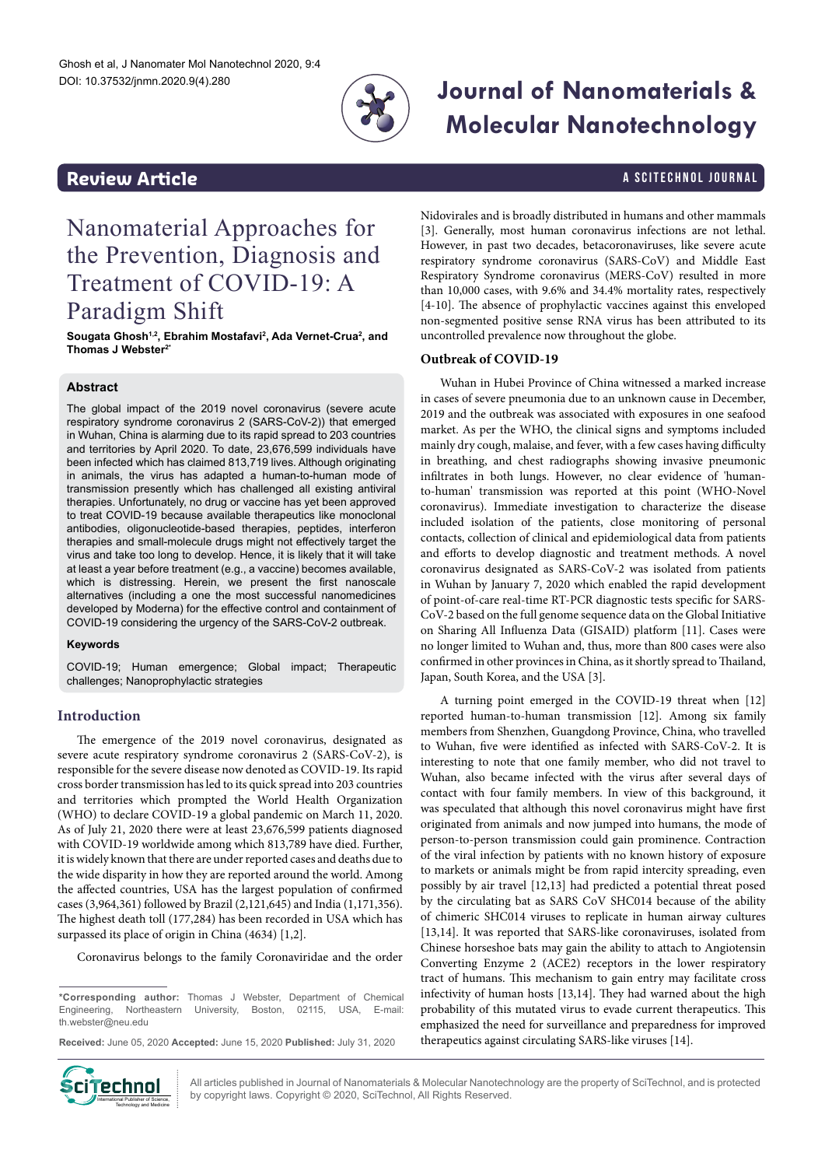

# **Journal of Nanomaterials & Molecular Nanotechnology**

# **Review Article And Article A SCITECHNOL JOURNAL**

# Nanomaterial Approaches for the Prevention, Diagnosis and Treatment of COVID-19: A Paradigm Shift

Sougata Ghosh<sup>1,2</sup>, Ebrahim Mostafavi<sup>2</sup>, Ada Vernet-Crua<sup>2</sup>, and **Thomas J Webster2\***

### **Abstract**

The global impact of the 2019 novel coronavirus (severe acute respiratory syndrome coronavirus 2 (SARS-CoV-2)) that emerged in Wuhan, China is alarming due to its rapid spread to 203 countries and territories by April 2020. To date, 23,676,599 individuals have been infected which has claimed 813,719 lives. Although originating in animals, the virus has adapted a human-to-human mode of transmission presently which has challenged all existing antiviral therapies. Unfortunately, no drug or vaccine has yet been approved to treat COVID-19 because available therapeutics like monoclonal antibodies, oligonucleotide-based therapies, peptides, interferon therapies and small-molecule drugs might not effectively target the virus and take too long to develop. Hence, it is likely that it will take at least a year before treatment (e.g., a vaccine) becomes available, which is distressing. Herein, we present the first nanoscale alternatives (including a one the most successful nanomedicines developed by Moderna) for the effective control and containment of COVID-19 considering the urgency of the SARS-CoV-2 outbreak.

#### **Keywords**

COVID-19; Human emergence; Global impact; Therapeutic challenges; Nanoprophylactic strategies

# **Introduction**

The emergence of the 2019 novel coronavirus, designated as severe acute respiratory syndrome coronavirus 2 (SARS-CoV-2), is responsible for the severe disease now denoted as COVID-19. Its rapid cross border transmission has led to its quick spread into 203 countries and territories which prompted the World Health Organization (WHO) to declare COVID-19 a global pandemic on March 11, 2020. As of July 21, 2020 there were at least 23,676,599 patients diagnosed with COVID-19 worldwide among which 813,789 have died. Further, it is widely known that there are under reported cases and deaths due to the wide disparity in how they are reported around the world. Among the affected countries, USA has the largest population of confirmed cases (3,964,361) followed by Brazil (2,121,645) and India (1,171,356). The highest death toll (177,284) has been recorded in USA which has surpassed its place of origin in China (4634) [1,2].

Coronavirus belongs to the family Coronaviridae and the order

**\*Corresponding author:** Thomas J Webster, Department of Chemical Engineering, Northeastern University, Boston, 02115, USA, E-mail: [th.webster@neu.edu](mailto:th.webster@neu.edu)

**Received:** June 05, 2020 **Accepted:** June 15, 2020 **Published:** July 31, 2020



All articles published in Journal of Nanomaterials & Molecular Nanotechnology are the property of SciTechnol, and is protected by copyright laws. Copyright © 2020, SciTechnol, All Rights Reserved.

Nidovirales and is broadly distributed in humans and other mammals [3]. Generally, most human coronavirus infections are not lethal. However, in past two decades, betacoronaviruses, like severe acute respiratory syndrome coronavirus (SARS-CoV) and Middle East Respiratory Syndrome coronavirus (MERS-CoV) resulted in more than 10,000 cases, with 9.6% and 34.4% mortality rates, respectively [4-10]. The absence of prophylactic vaccines against this enveloped non-segmented positive sense RNA virus has been attributed to its uncontrolled prevalence now throughout the globe.

## **Outbreak of COVID-19**

Wuhan in Hubei Province of China witnessed a marked increase in cases of severe pneumonia due to an unknown cause in December, 2019 and the outbreak was associated with exposures in one seafood market. As per the WHO, the clinical signs and symptoms included mainly dry cough, malaise, and fever, with a few cases having difficulty in breathing, and chest radiographs showing invasive pneumonic infiltrates in both lungs. However, no clear evidence of 'humanto-human' transmission was reported at this point (WHO-Novel coronavirus). Immediate investigation to characterize the disease included isolation of the patients, close monitoring of personal contacts, collection of clinical and epidemiological data from patients and efforts to develop diagnostic and treatment methods. A novel coronavirus designated as SARS-CoV-2 was isolated from patients in Wuhan by January 7, 2020 which enabled the rapid development of point-of-care real-time RT-PCR diagnostic tests specific for SARS-CoV-2 based on the full genome sequence data on the Global Initiative on Sharing All Influenza Data (GISAID) platform [11]. Cases were no longer limited to Wuhan and, thus, more than 800 cases were also confirmed in other provinces in China, as it shortly spread to Thailand, Japan, South Korea, and the USA [3].

A turning point emerged in the COVID-19 threat when [12] reported human-to-human transmission [12]. Among six family members from Shenzhen, Guangdong Province, China, who travelled to Wuhan, five were identified as infected with SARS-CoV-2. It is interesting to note that one family member, who did not travel to Wuhan, also became infected with the virus after several days of contact with four family members. In view of this background, it was speculated that although this novel coronavirus might have first originated from animals and now jumped into humans, the mode of person-to-person transmission could gain prominence. Contraction of the viral infection by patients with no known history of exposure to markets or animals might be from rapid intercity spreading, even possibly by air travel [12,13] had predicted a potential threat posed by the circulating bat as SARS CoV SHC014 because of the ability of chimeric SHC014 viruses to replicate in human airway cultures [13,14]. It was reported that SARS-like coronaviruses, isolated from Chinese horseshoe bats may gain the ability to attach to Angiotensin Converting Enzyme 2 (ACE2) receptors in the lower respiratory tract of humans. This mechanism to gain entry may facilitate cross infectivity of human hosts [13,14]. They had warned about the high probability of this mutated virus to evade current therapeutics. This emphasized the need for surveillance and preparedness for improved therapeutics against circulating SARS-like viruses [14].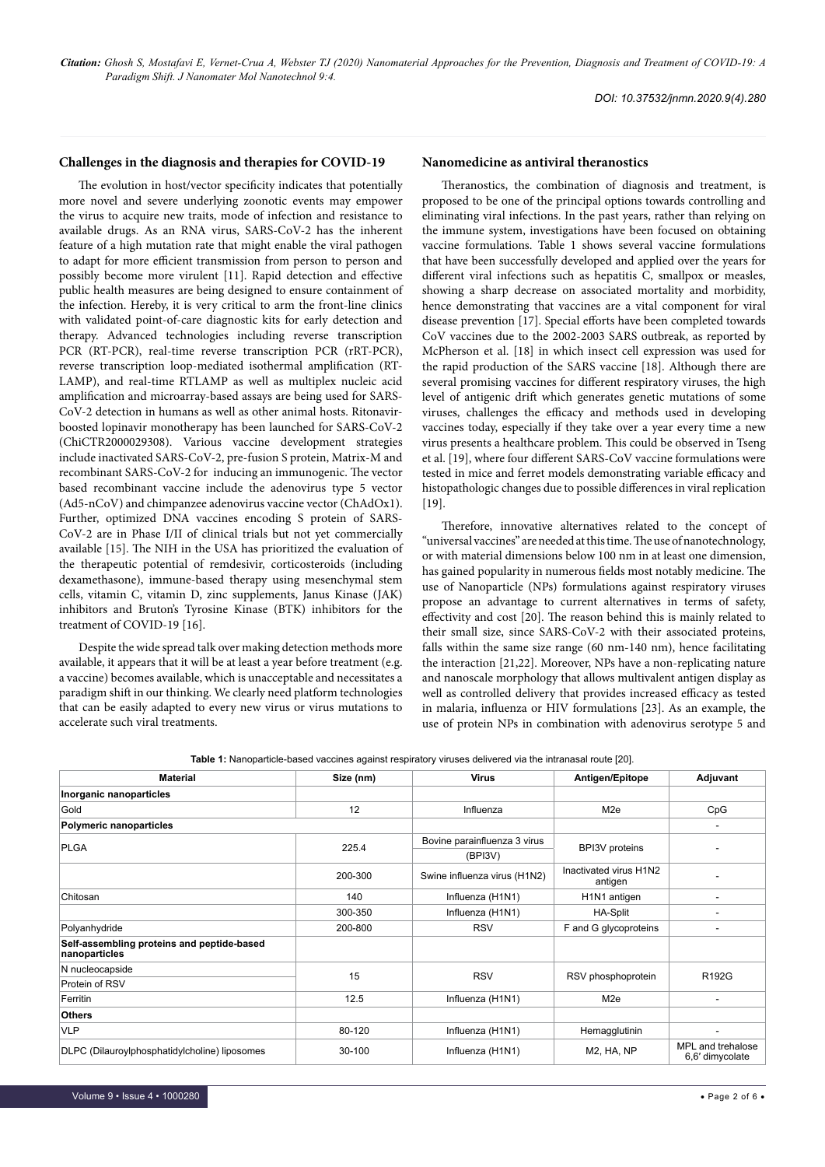*DOI: 10.37532/jnmn.2020.9(4).280*

#### **Challenges in the diagnosis and therapies for COVID-19**

The evolution in host/vector specificity indicates that potentially more novel and severe underlying zoonotic events may empower the virus to acquire new traits, mode of infection and resistance to available drugs. As an RNA virus, SARS-CoV-2 has the inherent feature of a high mutation rate that might enable the viral pathogen to adapt for more efficient transmission from person to person and possibly become more virulent [11]. Rapid detection and effective public health measures are being designed to ensure containment of the infection. Hereby, it is very critical to arm the front-line clinics with validated point-of-care diagnostic kits for early detection and therapy. Advanced technologies including reverse transcription PCR (RT-PCR), real-time reverse transcription PCR (rRT-PCR), reverse transcription loop-mediated isothermal amplification (RT-LAMP), and real-time RTLAMP as well as multiplex nucleic acid amplification and microarray-based assays are being used for SARS-CoV-2 detection in humans as well as other animal hosts. Ritonavirboosted lopinavir monotherapy has been launched for SARS-CoV-2 (ChiCTR2000029308). Various vaccine development strategies include inactivated SARS-CoV-2, pre-fusion S protein, Matrix-M and recombinant SARS-CoV-2 for inducing an immunogenic. The vector based recombinant vaccine include the adenovirus type 5 vector (Ad5-nCoV) and chimpanzee adenovirus vaccine vector (ChAdOx1). Further, optimized DNA vaccines encoding S protein of SARS-CoV-2 are in Phase I/II of clinical trials but not yet commercially available [15]. The NIH in the USA has prioritized the evaluation of the therapeutic potential of remdesivir, corticosteroids (including dexamethasone), immune-based therapy using mesenchymal stem cells, vitamin C, vitamin D, zinc supplements, Janus Kinase (JAK) inhibitors and Bruton's Tyrosine Kinase (BTK) inhibitors for the treatment of COVID-19 [16].

Despite the wide spread talk over making detection methods more available, it appears that it will be at least a year before treatment (e.g. a vaccine) becomes available, which is unacceptable and necessitates a paradigm shift in our thinking. We clearly need platform technologies that can be easily adapted to every new virus or virus mutations to accelerate such viral treatments.

#### **Nanomedicine as antiviral theranostics**

Theranostics, the combination of diagnosis and treatment, is proposed to be one of the principal options towards controlling and eliminating viral infections. In the past years, rather than relying on the immune system, investigations have been focused on obtaining vaccine formulations. Table 1 shows several vaccine formulations that have been successfully developed and applied over the years for different viral infections such as hepatitis C, smallpox or measles, showing a sharp decrease on associated mortality and morbidity, hence demonstrating that vaccines are a vital component for viral disease prevention [17]. Special efforts have been completed towards CoV vaccines due to the 2002-2003 SARS outbreak, as reported by McPherson et al. [18] in which insect cell expression was used for the rapid production of the SARS vaccine [18]. Although there are several promising vaccines for different respiratory viruses, the high level of antigenic drift which generates genetic mutations of some viruses, challenges the efficacy and methods used in developing vaccines today, especially if they take over a year every time a new virus presents a healthcare problem. This could be observed in Tseng et al. [19], where four different SARS-CoV vaccine formulations were tested in mice and ferret models demonstrating variable efficacy and histopathologic changes due to possible differences in viral replication [19].

Therefore, innovative alternatives related to the concept of "universal vaccines" are needed at this time. The use of nanotechnology, or with material dimensions below 100 nm in at least one dimension, has gained popularity in numerous fields most notably medicine. The use of Nanoparticle (NPs) formulations against respiratory viruses propose an advantage to current alternatives in terms of safety, effectivity and cost [20]. The reason behind this is mainly related to their small size, since SARS-CoV-2 with their associated proteins, falls within the same size range (60 nm-140 nm), hence facilitating the interaction [21,22]. Moreover, NPs have a non-replicating nature and nanoscale morphology that allows multivalent antigen display as well as controlled delivery that provides increased efficacy as tested in malaria, influenza or HIV formulations [23]. As an example, the use of protein NPs in combination with adenovirus serotype 5 and

|  |  | Table 1: Nanoparticle-based vaccines against respiratory viruses delivered via the intranasal route [20]. |
|--|--|-----------------------------------------------------------------------------------------------------------|
|--|--|-----------------------------------------------------------------------------------------------------------|

| <b>Material</b>                                             | Size (nm) | <b>Virus</b>                 | Antigen/Epitope                   | Adjuvant                             |
|-------------------------------------------------------------|-----------|------------------------------|-----------------------------------|--------------------------------------|
| Inorganic nanoparticles                                     |           |                              |                                   |                                      |
| Gold                                                        | 12        | Influenza                    | M <sub>2e</sub>                   | CpG                                  |
| <b>Polymeric nanoparticles</b>                              |           |                              |                                   |                                      |
| <b>PLGA</b>                                                 | 225.4     | Bovine parainfluenza 3 virus |                                   |                                      |
|                                                             |           | (BPI3V)                      | <b>BPI3V</b> proteins             |                                      |
|                                                             | 200-300   | Swine influenza virus (H1N2) | Inactivated virus H1N2<br>antigen |                                      |
| Chitosan                                                    | 140       | Influenza (H1N1)             | H1N1 antigen                      | $\overline{\phantom{a}}$             |
|                                                             | 300-350   | Influenza (H1N1)             | HA-Split                          | ۰.                                   |
| Polyanhydride                                               | 200-800   | <b>RSV</b>                   | F and G glycoproteins             | ٠                                    |
| Self-assembling proteins and peptide-based<br>nanoparticles |           |                              |                                   |                                      |
| N nucleocapside                                             | 15        | <b>RSV</b>                   | RSV phosphoprotein                | R192G                                |
| Protein of RSV                                              |           |                              |                                   |                                      |
| Ferritin                                                    | 12.5      | Influenza (H1N1)             | M <sub>2e</sub>                   |                                      |
| <b>Others</b>                                               |           |                              |                                   |                                      |
| <b>VLP</b>                                                  | 80-120    | Influenza (H1N1)             | Hemagglutinin                     |                                      |
| DLPC (Dilauroylphosphatidylcholine) liposomes               | 30-100    | Influenza (H1N1)             | M2, HA, NP                        | MPL and trehalose<br>6,6' dimycolate |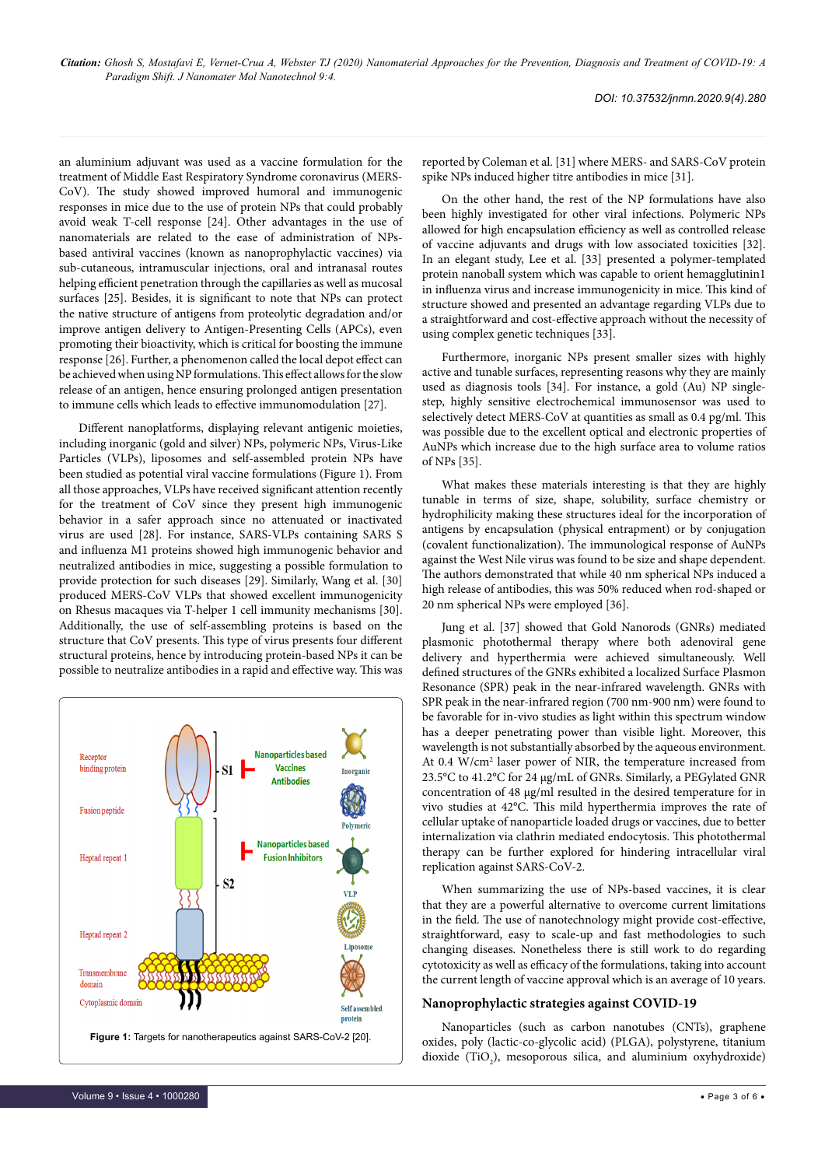an aluminium adjuvant was used as a vaccine formulation for the treatment of Middle East Respiratory Syndrome coronavirus (MERS-CoV). The study showed improved humoral and immunogenic responses in mice due to the use of protein NPs that could probably avoid weak T-cell response [24]. Other advantages in the use of nanomaterials are related to the ease of administration of NPsbased antiviral vaccines (known as nanoprophylactic vaccines) via sub-cutaneous, intramuscular injections, oral and intranasal routes helping efficient penetration through the capillaries as well as mucosal surfaces [25]. Besides, it is significant to note that NPs can protect the native structure of antigens from proteolytic degradation and/or improve antigen delivery to Antigen-Presenting Cells (APCs), even promoting their bioactivity, which is critical for boosting the immune response [26]. Further, a phenomenon called the local depot effect can be achieved when using NP formulations. This effect allows for the slow release of an antigen, hence ensuring prolonged antigen presentation to immune cells which leads to effective immunomodulation [27].

Different nanoplatforms, displaying relevant antigenic moieties, including inorganic (gold and silver) NPs, polymeric NPs, Virus-Like Particles (VLPs), liposomes and self-assembled protein NPs have been studied as potential viral vaccine formulations (Figure 1). From all those approaches, VLPs have received significant attention recently for the treatment of CoV since they present high immunogenic behavior in a safer approach since no attenuated or inactivated virus are used [28]. For instance, SARS-VLPs containing SARS S and influenza M1 proteins showed high immunogenic behavior and neutralized antibodies in mice, suggesting a possible formulation to provide protection for such diseases [29]. Similarly, Wang et al. [30] produced MERS-CoV VLPs that showed excellent immunogenicity on Rhesus macaques via T-helper 1 cell immunity mechanisms [30]. Additionally, the use of self-assembling proteins is based on the structure that CoV presents. This type of virus presents four different structural proteins, hence by introducing protein-based NPs it can be possible to neutralize antibodies in a rapid and effective way. This was



reported by Coleman et al. [31] where MERS- and SARS-CoV protein spike NPs induced higher titre antibodies in mice [31].

On the other hand, the rest of the NP formulations have also been highly investigated for other viral infections. Polymeric NPs allowed for high encapsulation efficiency as well as controlled release of vaccine adjuvants and drugs with low associated toxicities [32]. In an elegant study, Lee et al. [33] presented a polymer-templated protein nanoball system which was capable to orient hemagglutinin1 in influenza virus and increase immunogenicity in mice. This kind of structure showed and presented an advantage regarding VLPs due to a straightforward and cost-effective approach without the necessity of using complex genetic techniques [33].

Furthermore, inorganic NPs present smaller sizes with highly active and tunable surfaces, representing reasons why they are mainly used as diagnosis tools [34]. For instance, a gold (Au) NP singlestep, highly sensitive electrochemical immunosensor was used to selectively detect MERS-CoV at quantities as small as 0.4 pg/ml. This was possible due to the excellent optical and electronic properties of AuNPs which increase due to the high surface area to volume ratios of NPs [35].

What makes these materials interesting is that they are highly tunable in terms of size, shape, solubility, surface chemistry or hydrophilicity making these structures ideal for the incorporation of antigens by encapsulation (physical entrapment) or by conjugation (covalent functionalization). The immunological response of AuNPs against the West Nile virus was found to be size and shape dependent. The authors demonstrated that while 40 nm spherical NPs induced a high release of antibodies, this was 50% reduced when rod-shaped or 20 nm spherical NPs were employed [36].

Jung et al. [37] showed that Gold Nanorods (GNRs) mediated plasmonic photothermal therapy where both adenoviral gene delivery and hyperthermia were achieved simultaneously. Well defined structures of the GNRs exhibited a localized Surface Plasmon Resonance (SPR) peak in the near-infrared wavelength. GNRs with SPR peak in the near-infrared region (700 nm-900 nm) were found to be favorable for in-vivo studies as light within this spectrum window has a deeper penetrating power than visible light. Moreover, this wavelength is not substantially absorbed by the aqueous environment. At 0.4 W/cm2 laser power of NIR, the temperature increased from 23.5°C to 41.2°C for 24 μg/mL of GNRs. Similarly, a PEGylated GNR concentration of 48 μg/ml resulted in the desired temperature for in vivo studies at 42°C. This mild hyperthermia improves the rate of cellular uptake of nanoparticle loaded drugs or vaccines, due to better internalization via clathrin mediated endocytosis. This photothermal therapy can be further explored for hindering intracellular viral replication against SARS-CoV-2.

When summarizing the use of NPs-based vaccines, it is clear that they are a powerful alternative to overcome current limitations in the field. The use of nanotechnology might provide cost-effective, straightforward, easy to scale-up and fast methodologies to such changing diseases. Nonetheless there is still work to do regarding cytotoxicity as well as efficacy of the formulations, taking into account the current length of vaccine approval which is an average of 10 years.

### **Nanoprophylactic strategies against COVID-19**

Nanoparticles (such as carbon nanotubes (CNTs), graphene oxides, poly (lactic-co-glycolic acid) (PLGA), polystyrene, titanium dioxide  $(TiO_2)$ , mesoporous silica, and aluminium oxyhydroxide)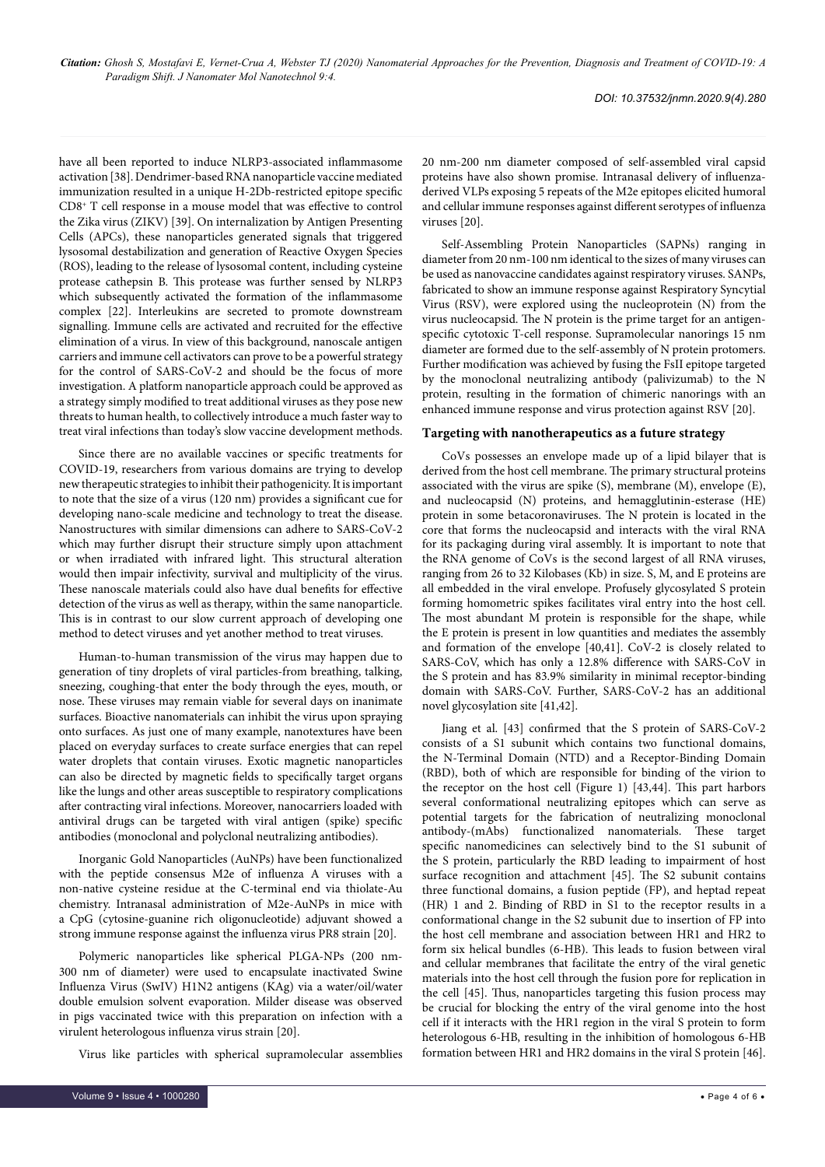have all been reported to induce NLRP3-associated inflammasome activation [38]. Dendrimer-based RNA nanoparticle vaccine mediated immunization resulted in a unique H-2Db-restricted epitope specific CD8+ T cell response in a mouse model that was effective to control the Zika virus (ZIKV) [39]. On internalization by Antigen Presenting Cells (APCs), these nanoparticles generated signals that triggered lysosomal destabilization and generation of Reactive Oxygen Species (ROS), leading to the release of lysosomal content, including cysteine protease cathepsin B. This protease was further sensed by NLRP3 which subsequently activated the formation of the inflammasome complex [22]. Interleukins are secreted to promote downstream signalling. Immune cells are activated and recruited for the effective elimination of a virus. In view of this background, nanoscale antigen carriers and immune cell activators can prove to be a powerful strategy for the control of SARS-CoV-2 and should be the focus of more investigation. A platform nanoparticle approach could be approved as a strategy simply modified to treat additional viruses as they pose new threats to human health, to collectively introduce a much faster way to treat viral infections than today's slow vaccine development methods.

Since there are no available vaccines or specific treatments for COVID-19, researchers from various domains are trying to develop new therapeutic strategies to inhibit their pathogenicity. It is important to note that the size of a virus (120 nm) provides a significant cue for developing nano-scale medicine and technology to treat the disease. Nanostructures with similar dimensions can adhere to SARS-CoV-2 which may further disrupt their structure simply upon attachment or when irradiated with infrared light. This structural alteration would then impair infectivity, survival and multiplicity of the virus. These nanoscale materials could also have dual benefits for effective detection of the virus as well as therapy, within the same nanoparticle. This is in contrast to our slow current approach of developing one method to detect viruses and yet another method to treat viruses.

Human-to-human transmission of the virus may happen due to generation of tiny droplets of viral particles-from breathing, talking, sneezing, coughing-that enter the body through the eyes, mouth, or nose. These viruses may remain viable for several days on inanimate surfaces. Bioactive nanomaterials can inhibit the virus upon spraying onto surfaces. As just one of many example, nanotextures have been placed on everyday surfaces to create surface energies that can repel water droplets that contain viruses. Exotic magnetic nanoparticles can also be directed by magnetic fields to specifically target organs like the lungs and other areas susceptible to respiratory complications after contracting viral infections. Moreover, nanocarriers loaded with antiviral drugs can be targeted with viral antigen (spike) specific antibodies (monoclonal and polyclonal neutralizing antibodies).

Inorganic Gold Nanoparticles (AuNPs) have been functionalized with the peptide consensus M2e of influenza A viruses with a non-native cysteine residue at the C-terminal end via thiolate-Au chemistry. Intranasal administration of M2e-AuNPs in mice with a CpG (cytosine-guanine rich oligonucleotide) adjuvant showed a strong immune response against the influenza virus PR8 strain [20].

Polymeric nanoparticles like spherical PLGA-NPs (200 nm-300 nm of diameter) were used to encapsulate inactivated Swine Influenza Virus (SwIV) H1N2 antigens (KAg) via a water/oil/water double emulsion solvent evaporation. Milder disease was observed in pigs vaccinated twice with this preparation on infection with a virulent heterologous influenza virus strain [20].

Virus like particles with spherical supramolecular assemblies

20 nm-200 nm diameter composed of self-assembled viral capsid proteins have also shown promise. Intranasal delivery of influenzaderived VLPs exposing 5 repeats of the M2e epitopes elicited humoral and cellular immune responses against different serotypes of influenza viruses [20].

Self-Assembling Protein Nanoparticles (SAPNs) ranging in diameter from 20 nm-100 nm identical to the sizes of many viruses can be used as nanovaccine candidates against respiratory viruses. SANPs, fabricated to show an immune response against Respiratory Syncytial Virus (RSV), were explored using the nucleoprotein (N) from the virus nucleocapsid. The N protein is the prime target for an antigenspecific cytotoxic T-cell response. Supramolecular nanorings 15 nm diameter are formed due to the self-assembly of N protein protomers. Further modification was achieved by fusing the FsII epitope targeted by the monoclonal neutralizing antibody (palivizumab) to the N protein, resulting in the formation of chimeric nanorings with an enhanced immune response and virus protection against RSV [20].

#### **Targeting with nanotherapeutics as a future strategy**

CoVs possesses an envelope made up of a lipid bilayer that is derived from the host cell membrane. The primary structural proteins associated with the virus are spike (S), membrane (M), envelope (E), and nucleocapsid (N) proteins, and hemagglutinin-esterase (HE) protein in some betacoronaviruses. The N protein is located in the core that forms the nucleocapsid and interacts with the viral RNA for its packaging during viral assembly. It is important to note that the RNA genome of CoVs is the second largest of all RNA viruses, ranging from 26 to 32 Kilobases (Kb) in size. S, M, and E proteins are all embedded in the viral envelope. Profusely glycosylated S protein forming homometric spikes facilitates viral entry into the host cell. The most abundant M protein is responsible for the shape, while the E protein is present in low quantities and mediates the assembly and formation of the envelope [40,41]. CoV-2 is closely related to SARS-CoV, which has only a 12.8% difference with SARS-CoV in the S protein and has 83.9% similarity in minimal receptor-binding domain with SARS-CoV. Further, SARS-CoV-2 has an additional novel glycosylation site [41,42].

Jiang et al. [43] confirmed that the S protein of SARS-CoV-2 consists of a S1 subunit which contains two functional domains, the N-Terminal Domain (NTD) and a Receptor-Binding Domain (RBD), both of which are responsible for binding of the virion to the receptor on the host cell (Figure 1) [43,44]. This part harbors several conformational neutralizing epitopes which can serve as potential targets for the fabrication of neutralizing monoclonal antibody-(mAbs) functionalized nanomaterials. These target specific nanomedicines can selectively bind to the S1 subunit of the S protein, particularly the RBD leading to impairment of host surface recognition and attachment [45]. The S2 subunit contains three functional domains, a fusion peptide (FP), and heptad repeat (HR) 1 and 2. Binding of RBD in S1 to the receptor results in a conformational change in the S2 subunit due to insertion of FP into the host cell membrane and association between HR1 and HR2 to form six helical bundles (6-HB). This leads to fusion between viral and cellular membranes that facilitate the entry of the viral genetic materials into the host cell through the fusion pore for replication in the cell [45]. Thus, nanoparticles targeting this fusion process may be crucial for blocking the entry of the viral genome into the host cell if it interacts with the HR1 region in the viral S protein to form heterologous 6-HB, resulting in the inhibition of homologous 6-HB formation between HR1 and HR2 domains in the viral S protein [46].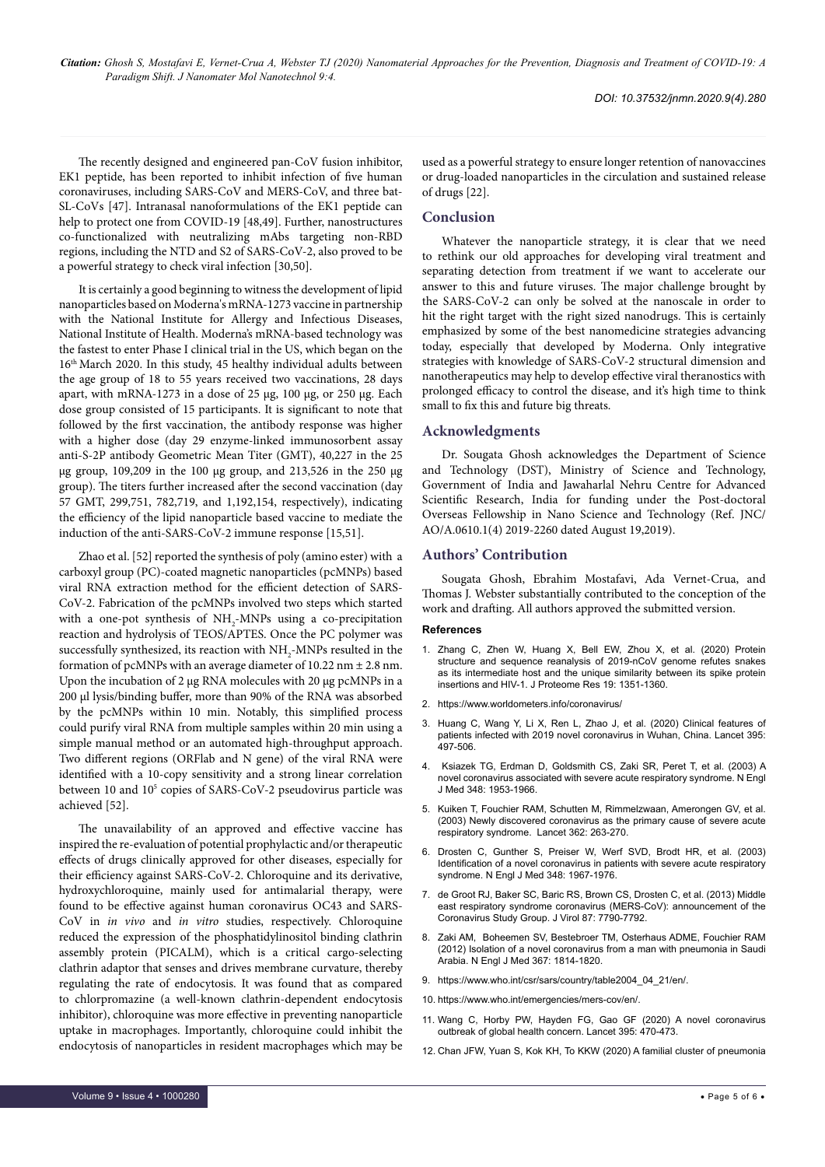The recently designed and engineered pan-CoV fusion inhibitor, EK1 peptide, has been reported to inhibit infection of five human coronaviruses, including SARS-CoV and MERS-CoV, and three bat-SL-CoVs [47]. Intranasal nanoformulations of the EK1 peptide can help to protect one from COVID-19 [48,49]. Further, nanostructures co-functionalized with neutralizing mAbs targeting non-RBD regions, including the NTD and S2 of SARS-CoV-2, also proved to be a powerful strategy to check viral infection [30,50].

It is certainly a good beginning to witness the development of lipid nanoparticles based on Moderna's mRNA-1273 vaccine in partnership with the National Institute for Allergy and Infectious Diseases, National Institute of Health. Moderna's mRNA-based technology was the fastest to enter Phase I clinical trial in the US, which began on the 16<sup>th</sup> March 2020. In this study, 45 healthy individual adults between the age group of 18 to 55 years received two vaccinations, 28 days apart, with mRNA-1273 in a dose of 25 µg, 100 µg, or 250 µg. Each dose group consisted of 15 participants. It is significant to note that followed by the first vaccination, the antibody response was higher with a higher dose (day 29 enzyme-linked immunosorbent assay anti-S-2P antibody Geometric Mean Titer (GMT), 40,227 in the 25 μg group, 109,209 in the 100 μg group, and 213,526 in the 250 μg group). The titers further increased after the second vaccination (day 57 GMT, 299,751, 782,719, and 1,192,154, respectively), indicating the efficiency of the lipid nanoparticle based vaccine to mediate the induction of the anti-SARS-CoV-2 immune response [15,51].

Zhao et al. [52] reported the synthesis of poly (amino ester) with a carboxyl group (PC)-coated magnetic nanoparticles (pcMNPs) based viral RNA extraction method for the efficient detection of SARS-CoV-2. Fabrication of the pcMNPs involved two steps which started with a one-pot synthesis of  $NH_2$ -MNPs using a co-precipitation reaction and hydrolysis of TEOS/APTES. Once the PC polymer was successfully synthesized, its reaction with  $\mathrm{NH}_2\text{-}\mathrm{MNP}$ s resulted in the formation of pcMNPs with an average diameter of 10.22 nm ± 2.8 nm. Upon the incubation of 2 μg RNA molecules with 20 μg pcMNPs in a 200 μl lysis/binding buffer, more than 90% of the RNA was absorbed by the pcMNPs within 10 min. Notably, this simplified process could purify viral RNA from multiple samples within 20 min using a simple manual method or an automated high-throughput approach. Two different regions (ORFlab and N gene) of the viral RNA were identified with a 10-copy sensitivity and a strong linear correlation between 10 and 105 copies of SARS-CoV-2 pseudovirus particle was achieved [52].

The unavailability of an approved and effective vaccine has inspired the re-evaluation of potential prophylactic and/or therapeutic effects of drugs clinically approved for other diseases, especially for their efficiency against SARS-CoV-2. Chloroquine and its derivative, hydroxychloroquine, mainly used for antimalarial therapy, were found to be effective against human coronavirus OC43 and SARS-CoV in *in vivo* and *in vitro* studies, respectively. Chloroquine reduced the expression of the phosphatidylinositol binding clathrin assembly protein (PICALM), which is a critical cargo-selecting clathrin adaptor that senses and drives membrane curvature, thereby regulating the rate of endocytosis. It was found that as compared to chlorpromazine (a well-known clathrin-dependent endocytosis inhibitor), chloroquine was more effective in preventing nanoparticle uptake in macrophages. Importantly, chloroquine could inhibit the endocytosis of nanoparticles in resident macrophages which may be

used as a powerful strategy to ensure longer retention of nanovaccines or drug-loaded nanoparticles in the circulation and sustained release of drugs [22].

#### **Conclusion**

Whatever the nanoparticle strategy, it is clear that we need to rethink our old approaches for developing viral treatment and separating detection from treatment if we want to accelerate our answer to this and future viruses. The major challenge brought by the SARS-CoV-2 can only be solved at the nanoscale in order to hit the right target with the right sized nanodrugs. This is certainly emphasized by some of the best nanomedicine strategies advancing today, especially that developed by Moderna. Only integrative strategies with knowledge of SARS-CoV-2 structural dimension and nanotherapeutics may help to develop effective viral theranostics with prolonged efficacy to control the disease, and it's high time to think small to fix this and future big threats.

#### **Acknowledgments**

Dr. Sougata Ghosh acknowledges the Department of Science and Technology (DST), Ministry of Science and Technology, Government of India and Jawaharlal Nehru Centre for Advanced Scientific Research, India for funding under the Post-doctoral Overseas Fellowship in Nano Science and Technology (Ref. JNC/ AO/A.0610.1(4) 2019-2260 dated August 19,2019).

#### **Authors' Contribution**

Sougata Ghosh, Ebrahim Mostafavi, Ada Vernet-Crua, and Thomas J. Webster substantially contributed to the conception of the work and drafting. All authors approved the submitted version.

#### **References**

- 1. [Zhang C, Zhen W, Huang X, Bell EW, Zhou X, et al. \(2020\) Protein](https://doi.org/10.1021/acs.jproteome.0c00129)  [structure and sequence reanalysis of 2019-nCoV genome refutes snakes](https://doi.org/10.1021/acs.jproteome.0c00129)  [as its intermediate host and the unique similarity between its spike protein](https://doi.org/10.1021/acs.jproteome.0c00129)  [insertions and HIV-1. J Proteome Res 19: 1351-1360.](https://doi.org/10.1021/acs.jproteome.0c00129)
- 2. <https://www.worldometers.info/coronavirus/>
- 3. [Huang C, Wang Y, Li X, Ren L, Zhao J, et al. \(2020\) Clinical features of](https://doi.org/10.1016/S0040-6090(97)01135-8)  [patients infected with 2019 novel coronavirus in Wuhan, China. Lancet 395:](https://doi.org/10.1016/S0040-6090(97)01135-8)  [497-506.](https://doi.org/10.1016/S0040-6090(97)01135-8)
- 4. [Ksiazek TG, Erdman D, Goldsmith CS, Zaki SR, Peret T, et al. \(2003\) A](DOI: 10.1056/NEJMoa030781)  [novel coronavirus associated with severe acute respiratory syndrome. N Engl](DOI: 10.1056/NEJMoa030781)  [J Med 348: 1953-1966.](DOI: 10.1056/NEJMoa030781)
- 5. [Kuiken T, Fouchier RAM, Schutten M, Rimmelzwaan, Amerongen GV, et al.](doi: 10.1016/S0140-6736(03)13967-0)  [\(2003\) Newly discovered coronavirus as the primary cause of severe acute](doi: 10.1016/S0140-6736(03)13967-0)  [respiratory syndrome. Lancet 362: 263-270.](doi: 10.1016/S0140-6736(03)13967-0)
- 6. [Drosten C, Gunther S, Preiser W, Werf SVD, Brodt HR, et al. \(2003\)](DOI: 10.1056/NEJMoa030747)  Identification of a novel coronavirus in patients with severe acute respiratory [syndrome. N Engl J Med 348: 1967-1976.](DOI: 10.1056/NEJMoa030747)
- 7. [de Groot RJ, Baker SC, Baric RS, Brown CS, Drosten C, et al. \(2013\) Middle](file:///C:\Users\ARTI NEGI\Desktop\Special Issue\10.1128\JVI.01244-13)  [east respiratory syndrome coronavirus \(MERS-CoV\): announcement of the](file:///C:\Users\ARTI NEGI\Desktop\Special Issue\10.1128\JVI.01244-13)  [Coronavirus Study Group. J Virol 87: 7790-7792.](file:///C:\Users\ARTI NEGI\Desktop\Special Issue\10.1128\JVI.01244-13)
- 8. [Zaki AM, Boheemen SV, Bestebroer TM, Osterhaus ADME, Fouchier RAM](file:///C:\Users\ARTI NEGI\Desktop\Special Issue\10.1056\NEJMoa1211721)  [\(2012\) Isolation of a novel coronavirus from a man with pneumonia in Saudi](file:///C:\Users\ARTI NEGI\Desktop\Special Issue\10.1056\NEJMoa1211721)  [Arabia. N Engl J Med 367: 1814-1820.](file:///C:\Users\ARTI NEGI\Desktop\Special Issue\10.1056\NEJMoa1211721)
- 9. [https://www.who.int/csr/sars/country/table2004\\_04\\_21/en/](https://www.who.int/csr/sars/country/table2004_04_21/en/).
- 10. <https://www.who.int/emergencies/mers-cov/en/>.
- 11. [Wang C, Horby PW, Hayden FG, Gao GF \(2020\) A novel coronavirus](https://doi.org/10.1016/s0140-6736(20)30185-9)  [outbreak of global health concern. Lancet 395: 470-473.](https://doi.org/10.1016/s0140-6736(20)30185-9)
- 12. [Chan JFW, Yuan S, Kok KH, To KKW \(2020\) A familial cluster of pneumonia](https://doi.org/10.1016/s0140-6736(20)30185-9)